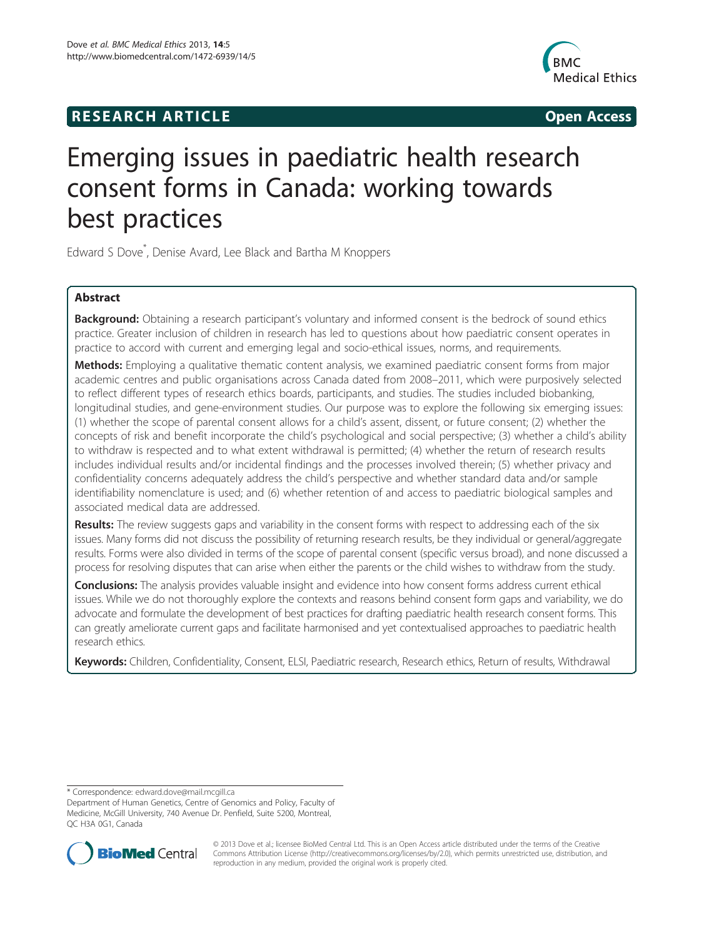# **RESEARCH ARTICLE CONSUMING A RESEARCH ARTICLE**



# Emerging issues in paediatric health research consent forms in Canada: working towards best practices

Edward S Dove\* , Denise Avard, Lee Black and Bartha M Knoppers

# Abstract

Background: Obtaining a research participant's voluntary and informed consent is the bedrock of sound ethics practice. Greater inclusion of children in research has led to questions about how paediatric consent operates in practice to accord with current and emerging legal and socio-ethical issues, norms, and requirements.

Methods: Employing a qualitative thematic content analysis, we examined paediatric consent forms from major academic centres and public organisations across Canada dated from 2008–2011, which were purposively selected to reflect different types of research ethics boards, participants, and studies. The studies included biobanking, longitudinal studies, and gene-environment studies. Our purpose was to explore the following six emerging issues: (1) whether the scope of parental consent allows for a child's assent, dissent, or future consent; (2) whether the concepts of risk and benefit incorporate the child's psychological and social perspective; (3) whether a child's ability to withdraw is respected and to what extent withdrawal is permitted; (4) whether the return of research results includes individual results and/or incidental findings and the processes involved therein; (5) whether privacy and confidentiality concerns adequately address the child's perspective and whether standard data and/or sample identifiability nomenclature is used; and (6) whether retention of and access to paediatric biological samples and associated medical data are addressed.

Results: The review suggests gaps and variability in the consent forms with respect to addressing each of the six issues. Many forms did not discuss the possibility of returning research results, be they individual or general/aggregate results. Forms were also divided in terms of the scope of parental consent (specific versus broad), and none discussed a process for resolving disputes that can arise when either the parents or the child wishes to withdraw from the study.

Conclusions: The analysis provides valuable insight and evidence into how consent forms address current ethical issues. While we do not thoroughly explore the contexts and reasons behind consent form gaps and variability, we do advocate and formulate the development of best practices for drafting paediatric health research consent forms. This can greatly ameliorate current gaps and facilitate harmonised and yet contextualised approaches to paediatric health research ethics.

Keywords: Children, Confidentiality, Consent, ELSI, Paediatric research, Research ethics, Return of results, Withdrawal

\* Correspondence: edward.dove@mail.mcgill.ca

Department of Human Genetics, Centre of Genomics and Policy, Faculty of Medicine, McGill University, 740 Avenue Dr. Penfield, Suite 5200, Montreal, QC H3A 0G1, Canada



© 2013 Dove et al.; licensee BioMed Central Ltd. This is an Open Access article distributed under the terms of the Creative Commons Attribution License (http://creativecommons.org/licenses/by/2.0), which permits unrestricted use, distribution, and reproduction in any medium, provided the original work is properly cited.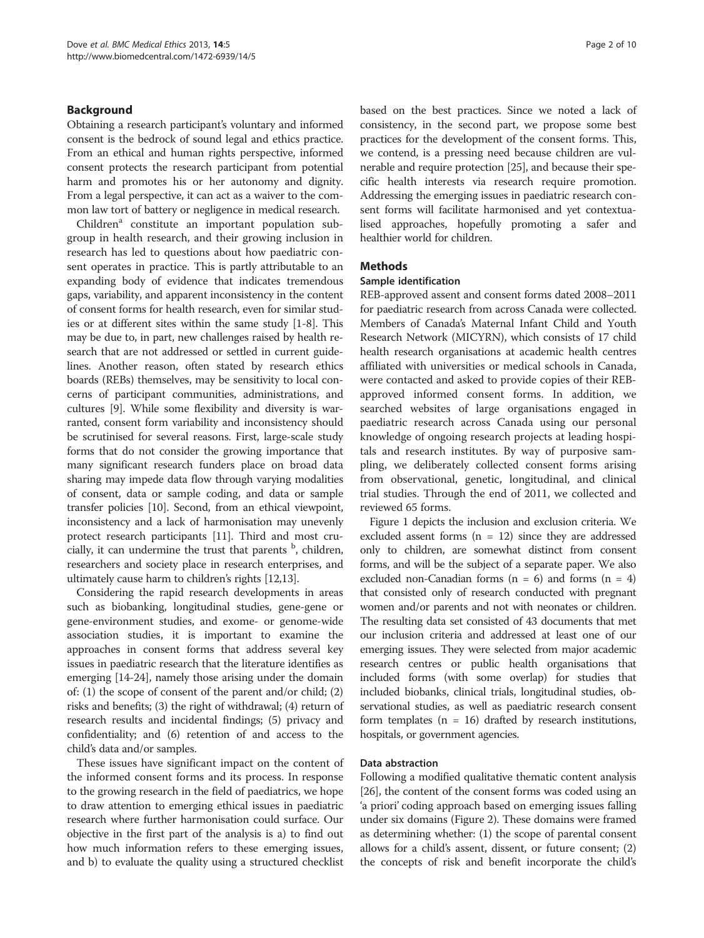# Background

Obtaining a research participant's voluntary and informed consent is the bedrock of sound legal and ethics practice. From an ethical and human rights perspective, informed consent protects the research participant from potential harm and promotes his or her autonomy and dignity. From a legal perspective, it can act as a waiver to the common law tort of battery or negligence in medical research.

Children<sup>a</sup> constitute an important population subgroup in health research, and their growing inclusion in research has led to questions about how paediatric consent operates in practice. This is partly attributable to an expanding body of evidence that indicates tremendous gaps, variability, and apparent inconsistency in the content of consent forms for health research, even for similar studies or at different sites within the same study [1-8]. This may be due to, in part, new challenges raised by health research that are not addressed or settled in current guidelines. Another reason, often stated by research ethics boards (REBs) themselves, may be sensitivity to local concerns of participant communities, administrations, and cultures [9]. While some flexibility and diversity is warranted, consent form variability and inconsistency should be scrutinised for several reasons. First, large-scale study forms that do not consider the growing importance that many significant research funders place on broad data sharing may impede data flow through varying modalities of consent, data or sample coding, and data or sample transfer policies [10]. Second, from an ethical viewpoint, inconsistency and a lack of harmonisation may unevenly protect research participants [11]. Third and most crucially, it can undermine the trust that parents <sup>b</sup>, children, researchers and society place in research enterprises, and ultimately cause harm to children's rights [12,13].

Considering the rapid research developments in areas such as biobanking, longitudinal studies, gene-gene or gene-environment studies, and exome- or genome-wide association studies, it is important to examine the approaches in consent forms that address several key issues in paediatric research that the literature identifies as emerging [14-24], namely those arising under the domain of: (1) the scope of consent of the parent and/or child; (2) risks and benefits; (3) the right of withdrawal; (4) return of research results and incidental findings; (5) privacy and confidentiality; and (6) retention of and access to the child's data and/or samples.

These issues have significant impact on the content of the informed consent forms and its process. In response to the growing research in the field of paediatrics, we hope to draw attention to emerging ethical issues in paediatric research where further harmonisation could surface. Our objective in the first part of the analysis is a) to find out how much information refers to these emerging issues, and b) to evaluate the quality using a structured checklist

based on the best practices. Since we noted a lack of consistency, in the second part, we propose some best practices for the development of the consent forms. This, we contend, is a pressing need because children are vulnerable and require protection [25], and because their specific health interests via research require promotion. Addressing the emerging issues in paediatric research consent forms will facilitate harmonised and yet contextualised approaches, hopefully promoting a safer and healthier world for children.

# **Methods**

#### Sample identification

REB-approved assent and consent forms dated 2008–2011 for paediatric research from across Canada were collected. Members of Canada's Maternal Infant Child and Youth Research Network (MICYRN), which consists of 17 child health research organisations at academic health centres affiliated with universities or medical schools in Canada, were contacted and asked to provide copies of their REBapproved informed consent forms. In addition, we searched websites of large organisations engaged in paediatric research across Canada using our personal knowledge of ongoing research projects at leading hospitals and research institutes. By way of purposive sampling, we deliberately collected consent forms arising from observational, genetic, longitudinal, and clinical trial studies. Through the end of 2011, we collected and reviewed 65 forms.

Figure 1 depicts the inclusion and exclusion criteria. We excluded assent forms  $(n = 12)$  since they are addressed only to children, are somewhat distinct from consent forms, and will be the subject of a separate paper. We also excluded non-Canadian forms  $(n = 6)$  and forms  $(n = 4)$ that consisted only of research conducted with pregnant women and/or parents and not with neonates or children. The resulting data set consisted of 43 documents that met our inclusion criteria and addressed at least one of our emerging issues. They were selected from major academic research centres or public health organisations that included forms (with some overlap) for studies that included biobanks, clinical trials, longitudinal studies, observational studies, as well as paediatric research consent form templates  $(n = 16)$  drafted by research institutions, hospitals, or government agencies.

# Data abstraction

Following a modified qualitative thematic content analysis [26], the content of the consent forms was coded using an 'a priori' coding approach based on emerging issues falling under six domains (Figure 2). These domains were framed as determining whether: (1) the scope of parental consent allows for a child's assent, dissent, or future consent; (2) the concepts of risk and benefit incorporate the child's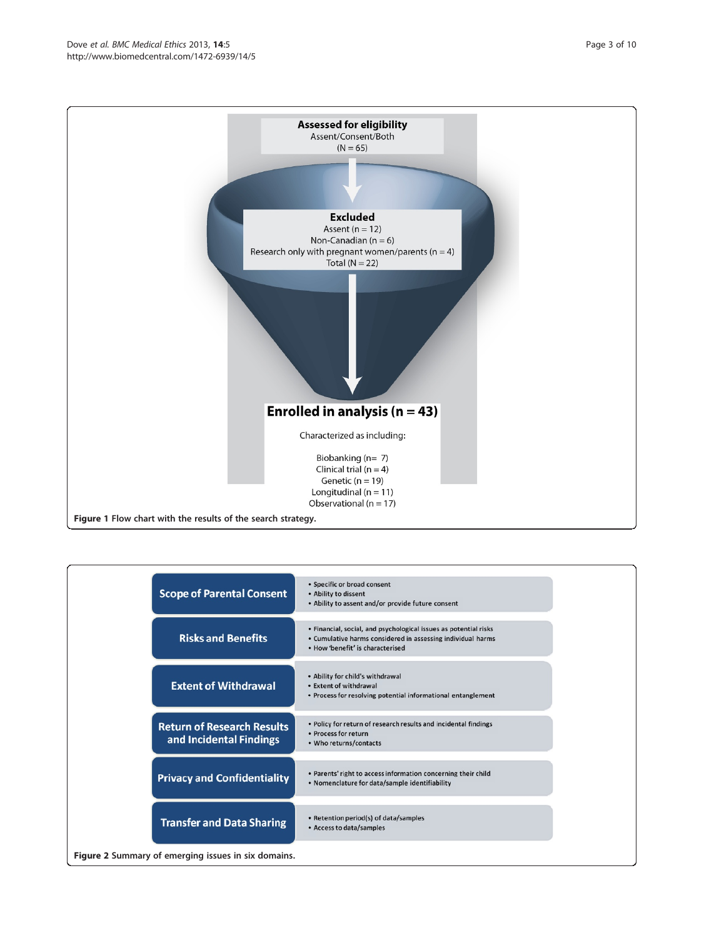

| <b>Scope of Parental Consent</b>                             | • Specific or broad consent<br>• Ability to dissent<br>• Ability to assent and/or provide future consent                                                            |  |  |
|--------------------------------------------------------------|---------------------------------------------------------------------------------------------------------------------------------------------------------------------|--|--|
| <b>Risks and Benefits</b>                                    | • Financial, social, and psychological issues as potential risks<br>• Cumulative harms considered in assessing individual harms<br>. How 'benefit' is characterised |  |  |
| <b>Extent of Withdrawal</b>                                  | • Ability for child's withdrawal<br>• Extent of withdrawal<br>• Process for resolving potential informational entanglement                                          |  |  |
| <b>Return of Research Results</b><br>and Incidental Findings | • Policy for return of research results and incidental findings<br>• Process for return<br>• Who returns/contacts                                                   |  |  |
| <b>Privacy and Confidentiality</b>                           | • Parents' right to access information concerning their child<br>. Nomenclature for data/sample identifiability                                                     |  |  |
| <b>Transfer and Data Sharing</b>                             | • Retention period(s) of data/samples<br>• Access to data/samples                                                                                                   |  |  |
| Figure 2 Summary of emerging issues in six domains.          |                                                                                                                                                                     |  |  |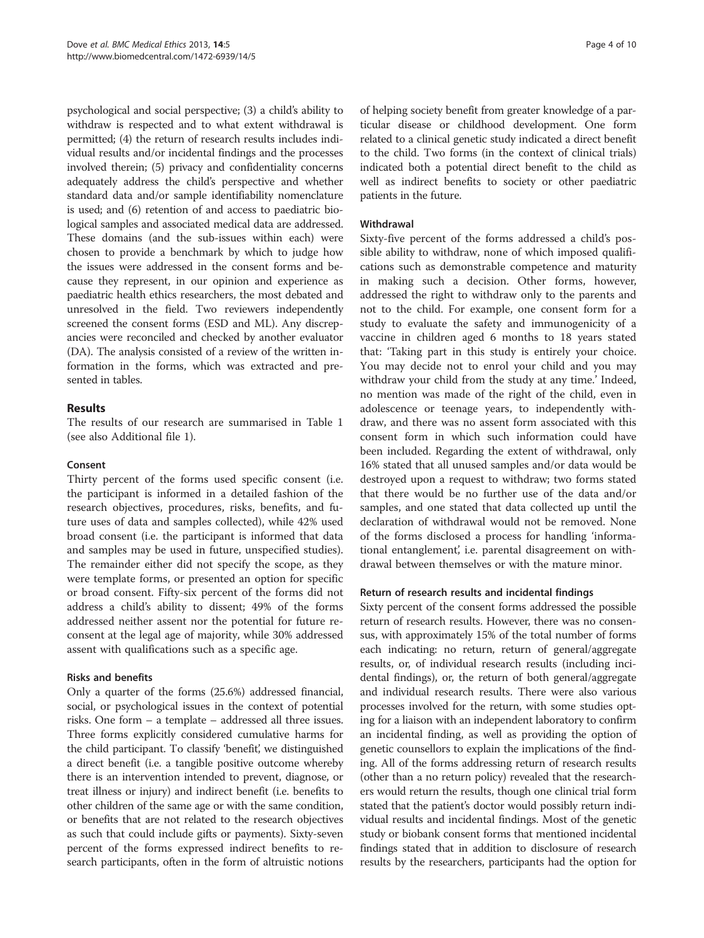psychological and social perspective; (3) a child's ability to withdraw is respected and to what extent withdrawal is permitted; (4) the return of research results includes individual results and/or incidental findings and the processes involved therein; (5) privacy and confidentiality concerns adequately address the child's perspective and whether standard data and/or sample identifiability nomenclature is used; and (6) retention of and access to paediatric biological samples and associated medical data are addressed. These domains (and the sub-issues within each) were chosen to provide a benchmark by which to judge how the issues were addressed in the consent forms and because they represent, in our opinion and experience as paediatric health ethics researchers, the most debated and unresolved in the field. Two reviewers independently screened the consent forms (ESD and ML). Any discrepancies were reconciled and checked by another evaluator (DA). The analysis consisted of a review of the written information in the forms, which was extracted and presented in tables.

# Results

The results of our research are summarised in Table 1 (see also Additional file 1).

#### Consent

Thirty percent of the forms used specific consent (i.e. the participant is informed in a detailed fashion of the research objectives, procedures, risks, benefits, and future uses of data and samples collected), while 42% used broad consent (i.e. the participant is informed that data and samples may be used in future, unspecified studies). The remainder either did not specify the scope, as they were template forms, or presented an option for specific or broad consent. Fifty-six percent of the forms did not address a child's ability to dissent; 49% of the forms addressed neither assent nor the potential for future reconsent at the legal age of majority, while 30% addressed assent with qualifications such as a specific age.

#### Risks and benefits

Only a quarter of the forms (25.6%) addressed financial, social, or psychological issues in the context of potential risks. One form – a template – addressed all three issues. Three forms explicitly considered cumulative harms for the child participant. To classify 'benefit', we distinguished a direct benefit (i.e. a tangible positive outcome whereby there is an intervention intended to prevent, diagnose, or treat illness or injury) and indirect benefit (i.e. benefits to other children of the same age or with the same condition, or benefits that are not related to the research objectives as such that could include gifts or payments). Sixty-seven percent of the forms expressed indirect benefits to research participants, often in the form of altruistic notions of helping society benefit from greater knowledge of a particular disease or childhood development. One form related to a clinical genetic study indicated a direct benefit to the child. Two forms (in the context of clinical trials) indicated both a potential direct benefit to the child as well as indirect benefits to society or other paediatric patients in the future.

#### Withdrawal

Sixty-five percent of the forms addressed a child's possible ability to withdraw, none of which imposed qualifications such as demonstrable competence and maturity in making such a decision. Other forms, however, addressed the right to withdraw only to the parents and not to the child. For example, one consent form for a study to evaluate the safety and immunogenicity of a vaccine in children aged 6 months to 18 years stated that: 'Taking part in this study is entirely your choice. You may decide not to enrol your child and you may withdraw your child from the study at any time.' Indeed, no mention was made of the right of the child, even in adolescence or teenage years, to independently withdraw, and there was no assent form associated with this consent form in which such information could have been included. Regarding the extent of withdrawal, only 16% stated that all unused samples and/or data would be destroyed upon a request to withdraw; two forms stated that there would be no further use of the data and/or samples, and one stated that data collected up until the declaration of withdrawal would not be removed. None of the forms disclosed a process for handling 'informational entanglement', i.e. parental disagreement on withdrawal between themselves or with the mature minor.

#### Return of research results and incidental findings

Sixty percent of the consent forms addressed the possible return of research results. However, there was no consensus, with approximately 15% of the total number of forms each indicating: no return, return of general/aggregate results, or, of individual research results (including incidental findings), or, the return of both general/aggregate and individual research results. There were also various processes involved for the return, with some studies opting for a liaison with an independent laboratory to confirm an incidental finding, as well as providing the option of genetic counsellors to explain the implications of the finding. All of the forms addressing return of research results (other than a no return policy) revealed that the researchers would return the results, though one clinical trial form stated that the patient's doctor would possibly return individual results and incidental findings. Most of the genetic study or biobank consent forms that mentioned incidental findings stated that in addition to disclosure of research results by the researchers, participants had the option for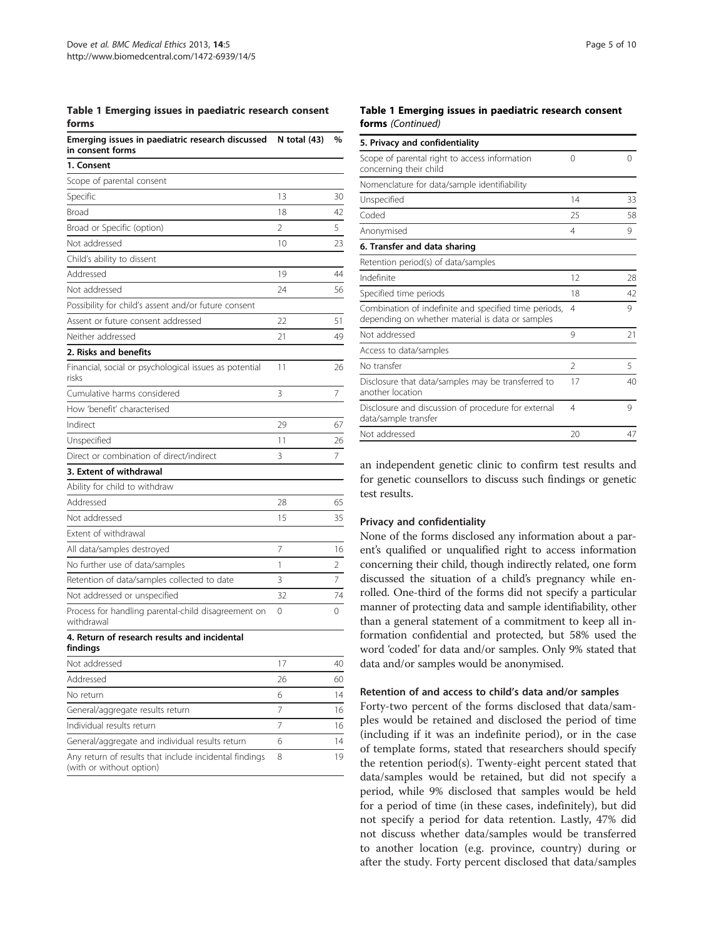#### Table 1 Emerging issues in paediatric research consent forms

| Emerging issues in paediatric research discussed<br>in consent forms | N total $(43)$           | %  |
|----------------------------------------------------------------------|--------------------------|----|
| 1. Consent                                                           |                          |    |
| Scope of parental consent                                            |                          |    |
| Specific                                                             | 13                       | 30 |
| Broad                                                                | 18                       | 42 |
| Broad or Specific (option)                                           | $\overline{\phantom{a}}$ | 5  |
| Not addressed                                                        | 10                       | 23 |
| Child's ability to dissent                                           |                          |    |
| Addressed                                                            | 19                       | 44 |
| Not addressed                                                        | 24                       | 56 |
| Possibility for child's assent and/or future consent                 |                          |    |
| Assent or future consent addressed                                   | 22                       | 51 |
| Neither addressed                                                    | 21                       | 49 |
| 2. Risks and benefits                                                |                          |    |
| Financial, social or psychological issues as potential<br>risks      | 11                       | 26 |
| Cumulative harms considered                                          | 3                        | 7  |
| How 'benefit' characterised                                          |                          |    |
| Indirect                                                             | 29                       | 67 |
| Unspecified                                                          | 11                       | 26 |
| Direct or combination of direct/indirect                             | 3                        | 7  |
| 3. Extent of withdrawal                                              |                          |    |
| Ability for child to withdraw                                        |                          |    |
| Addressed                                                            | 28                       | 65 |
| Not addressed                                                        | 15                       | 35 |
| Extent of withdrawal                                                 |                          |    |
| All data/samples destroyed                                           | 7                        | 16 |
| No further use of data/samples                                       | 1                        | 2  |
| Retention of data/samples collected to date                          | 3                        | 7  |
| Not addressed or unspecified                                         | 32                       | 74 |
| Process for handling parental-child disagreement on<br>withdrawal    | 0                        | 0  |
| 4. Return of research results and incidental                         |                          |    |

findings Not addressed 17 40 Addressed 60 No return  $\begin{array}{ccc} 6 & 14 \end{array}$ General/aggregate results return 16 Individual results return 7 16 General/aggregate and individual results return 6 14 Any return of results that include incidental findings (with or without option) 8 19

#### Table 1 Emerging issues in paediatric research consent forms (Continued)

| 5. Privacy and confidentiality                                                                            |                |    |
|-----------------------------------------------------------------------------------------------------------|----------------|----|
| Scope of parental right to access information<br>concerning their child                                   | $\Omega$       | 0  |
| Nomenclature for data/sample identifiability                                                              |                |    |
| Unspecified                                                                                               | 14             | 33 |
| Coded                                                                                                     | 25             | 58 |
| Anonymised                                                                                                | 4              | 9  |
| 6. Transfer and data sharing                                                                              |                |    |
| Retention period(s) of data/samples                                                                       |                |    |
| Indefinite                                                                                                | 12             | 28 |
| Specified time periods                                                                                    | 18             | 42 |
| Combination of indefinite and specified time periods,<br>depending on whether material is data or samples | 4              | 9  |
| Not addressed                                                                                             | 9              | 21 |
| Access to data/samples                                                                                    |                |    |
| No transfer                                                                                               | $\mathfrak{D}$ | 5  |
| Disclosure that data/samples may be transferred to<br>another location                                    | 17             | 40 |
| Disclosure and discussion of procedure for external<br>data/sample transfer                               | 4              | 9  |
| Not addressed                                                                                             | 20             | 47 |

an independent genetic clinic to confirm test results and for genetic counsellors to discuss such findings or genetic test results.

# Privacy and confidentiality

None of the forms disclosed any information about a parent's qualified or unqualified right to access information concerning their child, though indirectly related, one form discussed the situation of a child's pregnancy while enrolled. One-third of the forms did not specify a particular manner of protecting data and sample identifiability, other than a general statement of a commitment to keep all information confidential and protected, but 58% used the word 'coded' for data and/or samples. Only 9% stated that data and/or samples would be anonymised.

#### Retention of and access to child's data and/or samples

Forty-two percent of the forms disclosed that data/samples would be retained and disclosed the period of time (including if it was an indefinite period), or in the case of template forms, stated that researchers should specify the retention period(s). Twenty-eight percent stated that data/samples would be retained, but did not specify a period, while 9% disclosed that samples would be held for a period of time (in these cases, indefinitely), but did not specify a period for data retention. Lastly, 47% did not discuss whether data/samples would be transferred to another location (e.g. province, country) during or after the study. Forty percent disclosed that data/samples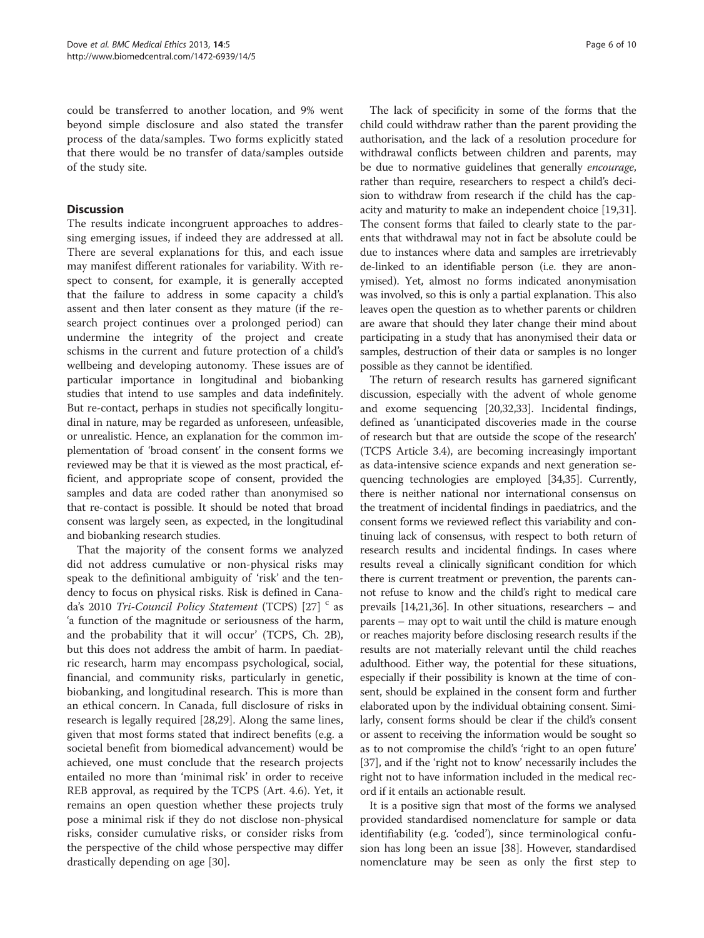could be transferred to another location, and 9% went beyond simple disclosure and also stated the transfer process of the data/samples. Two forms explicitly stated that there would be no transfer of data/samples outside of the study site.

# **Discussion**

The results indicate incongruent approaches to addressing emerging issues, if indeed they are addressed at all. There are several explanations for this, and each issue may manifest different rationales for variability. With respect to consent, for example, it is generally accepted that the failure to address in some capacity a child's assent and then later consent as they mature (if the research project continues over a prolonged period) can undermine the integrity of the project and create schisms in the current and future protection of a child's wellbeing and developing autonomy. These issues are of particular importance in longitudinal and biobanking studies that intend to use samples and data indefinitely. But re-contact, perhaps in studies not specifically longitudinal in nature, may be regarded as unforeseen, unfeasible, or unrealistic. Hence, an explanation for the common implementation of 'broad consent' in the consent forms we reviewed may be that it is viewed as the most practical, efficient, and appropriate scope of consent, provided the samples and data are coded rather than anonymised so that re-contact is possible. It should be noted that broad consent was largely seen, as expected, in the longitudinal and biobanking research studies.

That the majority of the consent forms we analyzed did not address cumulative or non-physical risks may speak to the definitional ambiguity of 'risk' and the tendency to focus on physical risks. Risk is defined in Canada's 2010 Tri-Council Policy Statement (TCPS) [27]  $\degree$  as 'a function of the magnitude or seriousness of the harm, and the probability that it will occur' (TCPS, Ch. 2B), but this does not address the ambit of harm. In paediatric research, harm may encompass psychological, social, financial, and community risks, particularly in genetic, biobanking, and longitudinal research. This is more than an ethical concern. In Canada, full disclosure of risks in research is legally required [28,29]. Along the same lines, given that most forms stated that indirect benefits (e.g. a societal benefit from biomedical advancement) would be achieved, one must conclude that the research projects entailed no more than 'minimal risk' in order to receive REB approval, as required by the TCPS (Art. 4.6). Yet, it remains an open question whether these projects truly pose a minimal risk if they do not disclose non-physical risks, consider cumulative risks, or consider risks from the perspective of the child whose perspective may differ drastically depending on age [30].

The lack of specificity in some of the forms that the child could withdraw rather than the parent providing the authorisation, and the lack of a resolution procedure for withdrawal conflicts between children and parents, may be due to normative guidelines that generally *encourage*, rather than require, researchers to respect a child's decision to withdraw from research if the child has the capacity and maturity to make an independent choice [19,31]. The consent forms that failed to clearly state to the parents that withdrawal may not in fact be absolute could be due to instances where data and samples are irretrievably de-linked to an identifiable person (i.e. they are anonymised). Yet, almost no forms indicated anonymisation was involved, so this is only a partial explanation. This also leaves open the question as to whether parents or children are aware that should they later change their mind about participating in a study that has anonymised their data or samples, destruction of their data or samples is no longer possible as they cannot be identified.

The return of research results has garnered significant discussion, especially with the advent of whole genome and exome sequencing [20,32,33]. Incidental findings, defined as 'unanticipated discoveries made in the course of research but that are outside the scope of the research' (TCPS Article 3.4), are becoming increasingly important as data-intensive science expands and next generation sequencing technologies are employed [34,35]. Currently, there is neither national nor international consensus on the treatment of incidental findings in paediatrics, and the consent forms we reviewed reflect this variability and continuing lack of consensus, with respect to both return of research results and incidental findings. In cases where results reveal a clinically significant condition for which there is current treatment or prevention, the parents cannot refuse to know and the child's right to medical care prevails [14,21,36]. In other situations, researchers – and parents – may opt to wait until the child is mature enough or reaches majority before disclosing research results if the results are not materially relevant until the child reaches adulthood. Either way, the potential for these situations, especially if their possibility is known at the time of consent, should be explained in the consent form and further elaborated upon by the individual obtaining consent. Similarly, consent forms should be clear if the child's consent or assent to receiving the information would be sought so as to not compromise the child's 'right to an open future' [37], and if the 'right not to know' necessarily includes the right not to have information included in the medical record if it entails an actionable result.

It is a positive sign that most of the forms we analysed provided standardised nomenclature for sample or data identifiability (e.g. 'coded'), since terminological confusion has long been an issue [38]. However, standardised nomenclature may be seen as only the first step to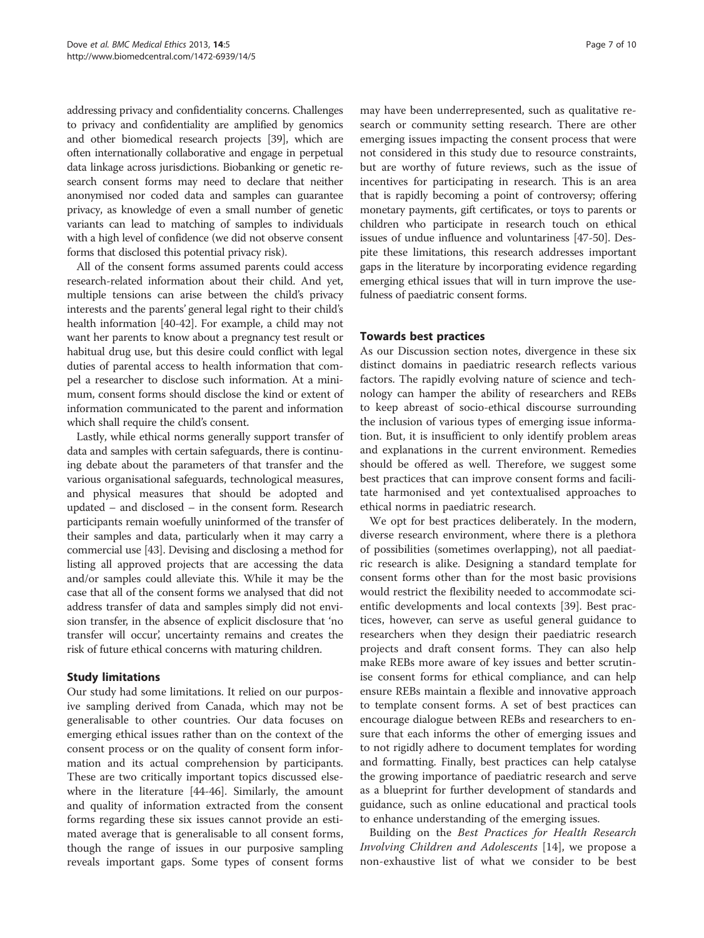addressing privacy and confidentiality concerns. Challenges to privacy and confidentiality are amplified by genomics and other biomedical research projects [39], which are often internationally collaborative and engage in perpetual data linkage across jurisdictions. Biobanking or genetic research consent forms may need to declare that neither anonymised nor coded data and samples can guarantee privacy, as knowledge of even a small number of genetic variants can lead to matching of samples to individuals with a high level of confidence (we did not observe consent forms that disclosed this potential privacy risk).

All of the consent forms assumed parents could access research-related information about their child. And yet, multiple tensions can arise between the child's privacy interests and the parents' general legal right to their child's health information [40-42]. For example, a child may not want her parents to know about a pregnancy test result or habitual drug use, but this desire could conflict with legal duties of parental access to health information that compel a researcher to disclose such information. At a minimum, consent forms should disclose the kind or extent of information communicated to the parent and information which shall require the child's consent.

Lastly, while ethical norms generally support transfer of data and samples with certain safeguards, there is continuing debate about the parameters of that transfer and the various organisational safeguards, technological measures, and physical measures that should be adopted and updated – and disclosed – in the consent form. Research participants remain woefully uninformed of the transfer of their samples and data, particularly when it may carry a commercial use [43]. Devising and disclosing a method for listing all approved projects that are accessing the data and/or samples could alleviate this. While it may be the case that all of the consent forms we analysed that did not address transfer of data and samples simply did not envision transfer, in the absence of explicit disclosure that 'no transfer will occur', uncertainty remains and creates the risk of future ethical concerns with maturing children.

# Study limitations

Our study had some limitations. It relied on our purposive sampling derived from Canada, which may not be generalisable to other countries. Our data focuses on emerging ethical issues rather than on the context of the consent process or on the quality of consent form information and its actual comprehension by participants. These are two critically important topics discussed elsewhere in the literature [44-46]. Similarly, the amount and quality of information extracted from the consent forms regarding these six issues cannot provide an estimated average that is generalisable to all consent forms, though the range of issues in our purposive sampling reveals important gaps. Some types of consent forms

may have been underrepresented, such as qualitative research or community setting research. There are other emerging issues impacting the consent process that were not considered in this study due to resource constraints, but are worthy of future reviews, such as the issue of incentives for participating in research. This is an area that is rapidly becoming a point of controversy; offering monetary payments, gift certificates, or toys to parents or children who participate in research touch on ethical issues of undue influence and voluntariness [47-50]. Despite these limitations, this research addresses important gaps in the literature by incorporating evidence regarding emerging ethical issues that will in turn improve the usefulness of paediatric consent forms.

# Towards best practices

As our Discussion section notes, divergence in these six distinct domains in paediatric research reflects various factors. The rapidly evolving nature of science and technology can hamper the ability of researchers and REBs to keep abreast of socio-ethical discourse surrounding the inclusion of various types of emerging issue information. But, it is insufficient to only identify problem areas and explanations in the current environment. Remedies should be offered as well. Therefore, we suggest some best practices that can improve consent forms and facilitate harmonised and yet contextualised approaches to ethical norms in paediatric research.

We opt for best practices deliberately. In the modern, diverse research environment, where there is a plethora of possibilities (sometimes overlapping), not all paediatric research is alike. Designing a standard template for consent forms other than for the most basic provisions would restrict the flexibility needed to accommodate scientific developments and local contexts [39]. Best practices, however, can serve as useful general guidance to researchers when they design their paediatric research projects and draft consent forms. They can also help make REBs more aware of key issues and better scrutinise consent forms for ethical compliance, and can help ensure REBs maintain a flexible and innovative approach to template consent forms. A set of best practices can encourage dialogue between REBs and researchers to ensure that each informs the other of emerging issues and to not rigidly adhere to document templates for wording and formatting. Finally, best practices can help catalyse the growing importance of paediatric research and serve as a blueprint for further development of standards and guidance, such as online educational and practical tools to enhance understanding of the emerging issues.

Building on the Best Practices for Health Research Involving Children and Adolescents [14], we propose a non-exhaustive list of what we consider to be best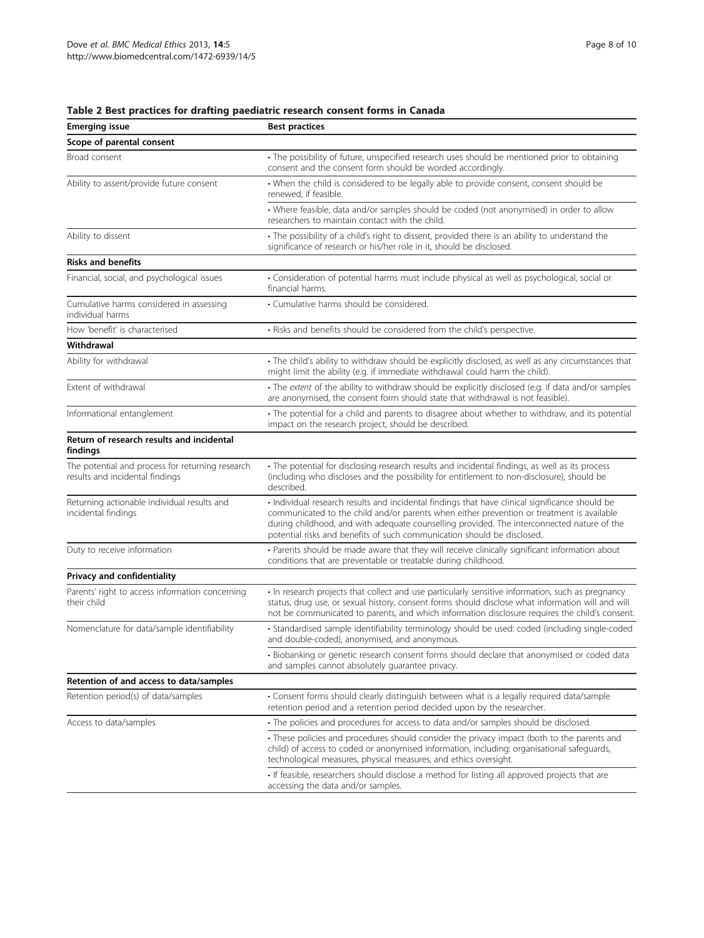| <b>Emerging issue</b>                                                               | <b>Best practices</b>                                                                                                                                                                                                                                                                                                                                                 |
|-------------------------------------------------------------------------------------|-----------------------------------------------------------------------------------------------------------------------------------------------------------------------------------------------------------------------------------------------------------------------------------------------------------------------------------------------------------------------|
| Scope of parental consent                                                           |                                                                                                                                                                                                                                                                                                                                                                       |
| Broad consent                                                                       | • The possibility of future, unspecified research uses should be mentioned prior to obtaining<br>consent and the consent form should be worded accordingly.                                                                                                                                                                                                           |
| Ability to assent/provide future consent                                            | • When the child is considered to be legally able to provide consent, consent should be<br>renewed, if feasible.                                                                                                                                                                                                                                                      |
|                                                                                     | • Where feasible, data and/or samples should be coded (not anonymised) in order to allow<br>researchers to maintain contact with the child.                                                                                                                                                                                                                           |
| Ability to dissent                                                                  | • The possibility of a child's right to dissent, provided there is an ability to understand the<br>significance of research or his/her role in it, should be disclosed.                                                                                                                                                                                               |
| <b>Risks and benefits</b>                                                           |                                                                                                                                                                                                                                                                                                                                                                       |
| Financial, social, and psychological issues                                         | • Consideration of potential harms must include physical as well as psychological, social or<br>financial harms                                                                                                                                                                                                                                                       |
| Cumulative harms considered in assessing<br>individual harms                        | • Cumulative harms should be considered.                                                                                                                                                                                                                                                                                                                              |
| How 'benefit' is characterised                                                      | · Risks and benefits should be considered from the child's perspective.                                                                                                                                                                                                                                                                                               |
| Withdrawal                                                                          |                                                                                                                                                                                                                                                                                                                                                                       |
| Ability for withdrawal                                                              | · The child's ability to withdraw should be explicitly disclosed, as well as any circumstances that<br>might limit the ability (e.g. if immediate withdrawal could harm the child).                                                                                                                                                                                   |
| Extent of withdrawal                                                                | • The extent of the ability to withdraw should be explicitly disclosed (e.g. if data and/or samples<br>are anonymised, the consent form should state that withdrawal is not feasible).                                                                                                                                                                                |
| Informational entanglement                                                          | • The potential for a child and parents to disagree about whether to withdraw, and its potential<br>impact on the research project, should be described.                                                                                                                                                                                                              |
| Return of research results and incidental<br>findings                               |                                                                                                                                                                                                                                                                                                                                                                       |
| The potential and process for returning research<br>results and incidental findings | • The potential for disclosing research results and incidental findings, as well as its process<br>(including who discloses and the possibility for entitlement to non-disclosure), should be<br>described.                                                                                                                                                           |
| Returning actionable individual results and<br>incidental findings                  | · Individual research results and incidental findings that have clinical significance should be<br>communicated to the child and/or parents when either prevention or treatment is available<br>during childhood, and with adequate counselling provided. The interconnected nature of the<br>potential risks and benefits of such communication should be disclosed. |
| Duty to receive information                                                         | • Parents should be made aware that they will receive clinically significant information about<br>conditions that are preventable or treatable during childhood.                                                                                                                                                                                                      |
| Privacy and confidentiality                                                         |                                                                                                                                                                                                                                                                                                                                                                       |
| Parents' right to access information concerning<br>their child                      | · In research projects that collect and use particularly sensitive information, such as pregnancy<br>status, drug use, or sexual history, consent forms should disclose what information will and will<br>not be communicated to parents, and which information disclosure requires the child's consent.                                                              |
| Nomenclature for data/sample identifiability                                        | · Standardised sample identifiability terminology should be used: coded (including single-coded<br>and double-coded), anonymised, and anonymous.                                                                                                                                                                                                                      |
|                                                                                     | · Biobanking or genetic research consent forms should declare that anonymised or coded data<br>and samples cannot absolutely guarantee privacy.                                                                                                                                                                                                                       |
| Retention of and access to data/samples                                             |                                                                                                                                                                                                                                                                                                                                                                       |
| Retention period(s) of data/samples                                                 | • Consent forms should clearly distinguish between what is a legally required data/sample<br>retention period and a retention period decided upon by the researcher.                                                                                                                                                                                                  |
| Access to data/samples                                                              | • The policies and procedures for access to data and/or samples should be disclosed.                                                                                                                                                                                                                                                                                  |
|                                                                                     | • These policies and procedures should consider the privacy impact (both to the parents and<br>child) of access to coded or anonymised information, including: organisational safeguards,<br>technological measures, physical measures, and ethics oversight.                                                                                                         |
|                                                                                     | • If feasible, researchers should disclose a method for listing all approved projects that are<br>accessing the data and/or samples.                                                                                                                                                                                                                                  |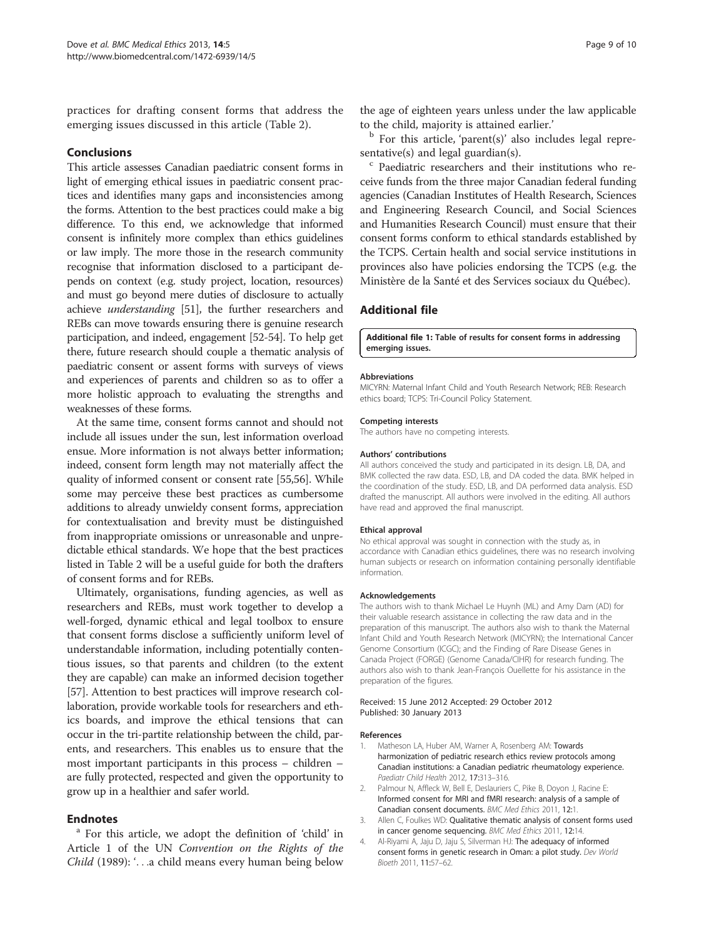practices for drafting consent forms that address the emerging issues discussed in this article (Table 2).

#### Conclusions

This article assesses Canadian paediatric consent forms in light of emerging ethical issues in paediatric consent practices and identifies many gaps and inconsistencies among the forms. Attention to the best practices could make a big difference. To this end, we acknowledge that informed consent is infinitely more complex than ethics guidelines or law imply. The more those in the research community recognise that information disclosed to a participant depends on context (e.g. study project, location, resources) and must go beyond mere duties of disclosure to actually achieve understanding [51], the further researchers and REBs can move towards ensuring there is genuine research participation, and indeed, engagement [52-54]. To help get there, future research should couple a thematic analysis of paediatric consent or assent forms with surveys of views and experiences of parents and children so as to offer a more holistic approach to evaluating the strengths and weaknesses of these forms.

At the same time, consent forms cannot and should not include all issues under the sun, lest information overload ensue. More information is not always better information; indeed, consent form length may not materially affect the quality of informed consent or consent rate [55,56]. While some may perceive these best practices as cumbersome additions to already unwieldy consent forms, appreciation for contextualisation and brevity must be distinguished from inappropriate omissions or unreasonable and unpredictable ethical standards. We hope that the best practices listed in Table 2 will be a useful guide for both the drafters of consent forms and for REBs.

Ultimately, organisations, funding agencies, as well as researchers and REBs, must work together to develop a well-forged, dynamic ethical and legal toolbox to ensure that consent forms disclose a sufficiently uniform level of understandable information, including potentially contentious issues, so that parents and children (to the extent they are capable) can make an informed decision together [57]. Attention to best practices will improve research collaboration, provide workable tools for researchers and ethics boards, and improve the ethical tensions that can occur in the tri-partite relationship between the child, parents, and researchers. This enables us to ensure that the most important participants in this process – children – are fully protected, respected and given the opportunity to grow up in a healthier and safer world.

**Endnotes**<br><sup>a</sup> For this article, we adopt the definition of 'child' in Article 1 of the UN Convention on the Rights of the Child (1989): '...a child means every human being below the age of eighteen years unless under the law applicable

to the child, majority is attained earlier.' b For this article, 'parent(s)' also includes legal repre-

sentative(s) and legal guardian(s).<br> $\degree$  Paediatric researchers and their institutions who receive funds from the three major Canadian federal funding agencies (Canadian Institutes of Health Research, Sciences and Engineering Research Council, and Social Sciences and Humanities Research Council) must ensure that their consent forms conform to ethical standards established by the TCPS. Certain health and social service institutions in provinces also have policies endorsing the TCPS (e.g. the Ministère de la Santé et des Services sociaux du Québec).

# Additional file

Additional file 1: Table of results for consent forms in addressing emerging issues.

#### **Abbreviations**

MICYRN: Maternal Infant Child and Youth Research Network; REB: Research ethics board; TCPS: Tri-Council Policy Statement.

#### Competing interests

The authors have no competing interests.

#### Authors' contributions

All authors conceived the study and participated in its design. LB, DA, and BMK collected the raw data. ESD, LB, and DA coded the data. BMK helped in the coordination of the study. ESD, LB, and DA performed data analysis. ESD drafted the manuscript. All authors were involved in the editing. All authors have read and approved the final manuscript.

#### Ethical approval

No ethical approval was sought in connection with the study as, in accordance with Canadian ethics guidelines, there was no research involving human subjects or research on information containing personally identifiable information.

#### Acknowledgements

The authors wish to thank Michael Le Huynh (ML) and Amy Dam (AD) for their valuable research assistance in collecting the raw data and in the preparation of this manuscript. The authors also wish to thank the Maternal Infant Child and Youth Research Network (MICYRN); the International Cancer Genome Consortium (ICGC); and the Finding of Rare Disease Genes in Canada Project (FORGE) (Genome Canada/CIHR) for research funding. The authors also wish to thank Jean-François Ouellette for his assistance in the preparation of the figures.

#### Received: 15 June 2012 Accepted: 29 October 2012 Published: 30 January 2013

#### References

- Matheson LA, Huber AM, Warner A, Rosenberg AM: Towards harmonization of pediatric research ethics review protocols among Canadian institutions: a Canadian pediatric rheumatology experience. Paediatr Child Health 2012, 17:313–316.
- 2. Palmour N, Affleck W, Bell E, Deslauriers C, Pike B, Doyon J, Racine E: Informed consent for MRI and fMRI research: analysis of a sample of Canadian consent documents. BMC Med Ethics 2011, 12:1.
- 3. Allen C, Foulkes WD: Qualitative thematic analysis of consent forms used in cancer genome sequencing. BMC Med Ethics 2011, 12:14.
- 4. Al-Riyami A, Jaju D, Jaju S, Silverman HJ: The adequacy of informed consent forms in genetic research in Oman: a pilot study. Dev World Bioeth 2011, 11:57–62.